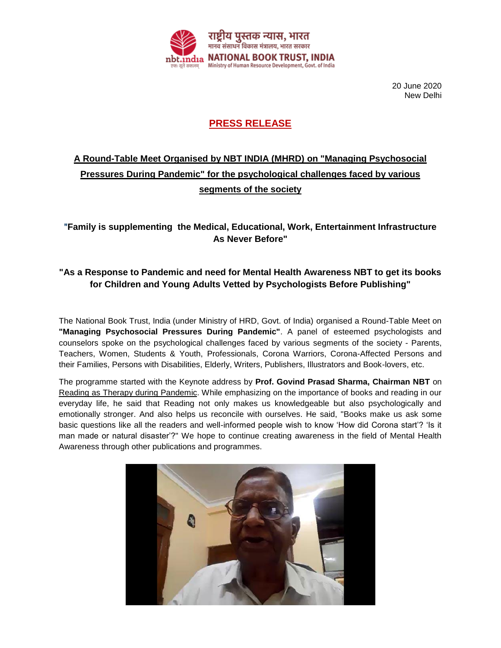

20 June 2020 New Delhi

## **PRESS RELEASE**

## **A Round-Table Meet Organised by NBT INDIA (MHRD) on "Managing Psychosocial Pressures During Pandemic" for the psychological challenges faced by various segments of the society**

## "**Family is supplementing the Medical, Educational, Work, Entertainment Infrastructure As Never Before"**

## **"As a Response to Pandemic and need for Mental Health Awareness NBT to get its books for Children and Young Adults Vetted by Psychologists Before Publishing"**

The [National Book Trust, India](https://www.facebook.com/nationalbooktrustindia/?fref=mentions&__xts__%5B0%5D=68.ARANQiwa8__no4z3YiZIHms9Z5OdibBJLre_uLwM-9A0E0J0Od8GT148aoxO3cXYI-k7yQQxTR-eOJihgMHkt-Mzwu0B5RR0BExhFF18WEKFHUllh4Vs1CQ-tGRRSdgK-Qx6rQKdD1-LV7VRdOlO_CmRj8mqD7R2e4n3aITdmfn8WmWWoAeQ6T5UR3ZyaLSkiBleTJvYtVFLZhxJvVbEZR4jQHQFB5sBcEEQQu7FycXuk5qOzL4D2vWvjasUIMT_u_Aur40xPq7562j_8mknLrC7YjJDekpPk6u4w58zJkvVT7Af2y9kHXTRb3woWVoQpod9nroPqAJkDZuDkMKWqk5Vzg&__tn__=K-R) (under Ministry of HRD, Govt. of India) organised a Round-Table Meet on **"Managing Psychosocial Pressures During Pandemic"**. A panel of esteemed psychologists and counselors spoke on the psychological challenges faced by various segments of the society - Parents, Teachers, Women, Students & Youth, Professionals, Corona Warriors, Corona-Affected Persons and their Families, Persons with Disabilities, Elderly, Writers, Publishers, Illustrators and Book-lovers, etc.

The programme started with the Keynote address by **Prof. Govind Prasad Sharma, Chairman NBT** on Reading as Therapy during Pandemic. While emphasizing on the importance of books and reading in our everyday life, he said that Reading not only makes us knowledgeable but also psychologically and emotionally stronger. And also helps us reconcile with ourselves. He said, "Books make us ask some basic questions like all the readers and well-informed people wish to know 'How did Corona start'? 'Is it man made or natural disaster'?" We hope to continue creating awareness in the field of Mental Health Awareness through other publications and programmes.

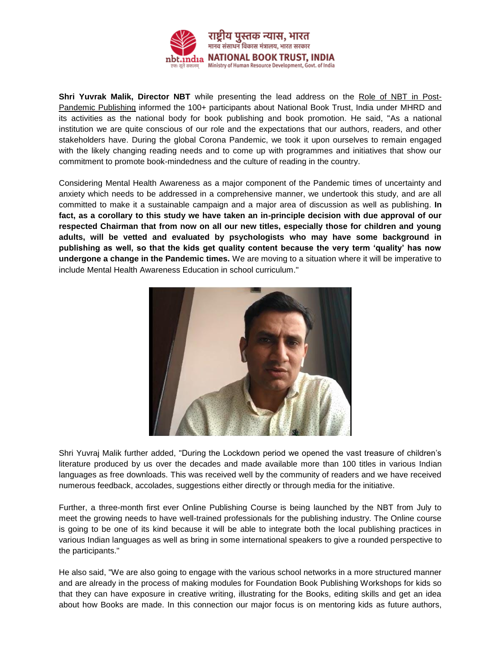

**Shri Yuvrak Malik, Director NBT** while presenting the lead address on the Role of NBT in Post-Pandemic Publishing informed the 100+ participants about National Book Trust, India under MHRD and its activities as the national body for book publishing and book promotion. He said, "As a national institution we are quite conscious of our role and the expectations that our authors, readers, and other stakeholders have. During the global Corona Pandemic, we took it upon ourselves to remain engaged with the likely changing reading needs and to come up with programmes and initiatives that show our commitment to promote book-mindedness and the culture of reading in the country.

Considering Mental Health Awareness as a major component of the Pandemic times of uncertainty and anxiety which needs to be addressed in a comprehensive manner, we undertook this study, and are all committed to make it a sustainable campaign and a major area of discussion as well as publishing. **In fact, as a corollary to this study we have taken an in-principle decision with due approval of our respected Chairman that from now on all our new titles, especially those for children and young adults, will be vetted and evaluated by psychologists who may have some background in publishing as well, so that the kids get quality content because the very term 'quality' has now undergone a change in the Pandemic times.** We are moving to a situation where it will be imperative to include Mental Health Awareness Education in school curriculum."



Shri Yuvraj Malik further added, "During the Lockdown period we opened the vast treasure of children's literature produced by us over the decades and made available more than 100 titles in various Indian languages as free downloads. This was received well by the community of readers and we have received numerous feedback, accolades, suggestions either directly or through media for the initiative.

Further, a three-month first ever Online Publishing Course is being launched by the NBT from July to meet the growing needs to have well-trained professionals for the publishing industry. The Online course is going to be one of its kind because it will be able to integrate both the local publishing practices in various Indian languages as well as bring in some international speakers to give a rounded perspective to the participants."

He also said, "We are also going to engage with the various school networks in a more structured manner and are already in the process of making modules for Foundation Book Publishing Workshops for kids so that they can have exposure in creative writing, illustrating for the Books, editing skills and get an idea about how Books are made. In this connection our major focus is on mentoring kids as future authors,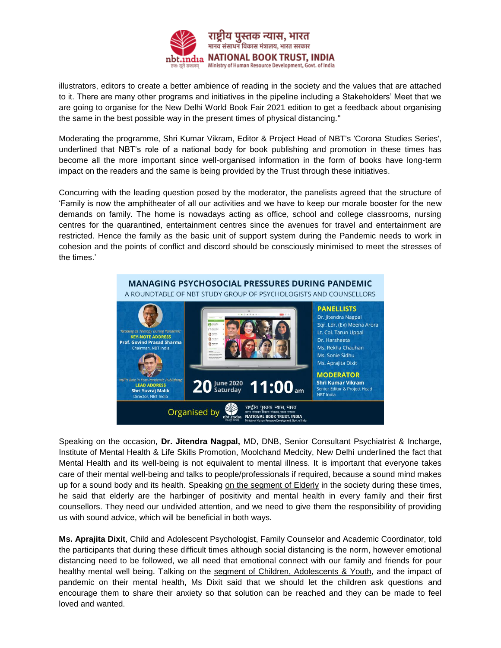

illustrators, editors to create a better ambience of reading in the society and the values that are attached to it. There are many other programs and initiatives in the pipeline including a Stakeholders' Meet that we are going to organise for the New Delhi World Book Fair 2021 edition to get a feedback about organising the same in the best possible way in the present times of physical distancing."

Moderating the programme, Shri Kumar Vikram, Editor & Project Head of NBT's 'Corona Studies Series', underlined that NBT's role of a national body for book publishing and promotion in these times has become all the more important since well-organised information in the form of books have long-term impact on the readers and the same is being provided by the Trust through these initiatives.

Concurring with the leading question posed by the moderator, the panelists agreed that the structure of 'Family is now the amphitheater of all our activities and we have to keep our morale booster for the new demands on family. The home is nowadays acting as office, school and college classrooms, nursing centres for the quarantined, entertainment centres since the avenues for travel and entertainment are restricted. Hence the family as the basic unit of support system during the Pandemic needs to work in cohesion and the points of conflict and discord should be consciously minimised to meet the stresses of the times.'



Speaking on the occasion, **Dr. Jitendra Nagpal,** MD, DNB, Senior Consultant Psychiatrist & Incharge, Institute of Mental Health & Life Skills Promotion, Moolchand Medcity, New Delhi underlined the fact that Mental Health and its well-being is not equivalent to mental illness. It is important that everyone takes care of their mental well-being and talks to people/professionals if required, because a sound mind makes up for a sound body and its health. Speaking on the segment of Elderly in the society during these times, he said that elderly are the harbinger of positivity and mental health in every family and their first counsellors. They need our undivided attention, and we need to give them the responsibility of providing us with sound advice, which will be beneficial in both ways.

**Ms. Aprajita Dixit**, Child and Adolescent Psychologist, Family Counselor and Academic Coordinator, told the participants that during these difficult times although social distancing is the norm, however emotional distancing need to be followed, we all need that emotional connect with our family and friends for pour healthy mental well being. Talking on the segment of Children, Adolescents & Youth, and the impact of pandemic on their mental health, Ms Dixit said that we should let the children ask questions and encourage them to share their anxiety so that solution can be reached and they can be made to feel loved and wanted.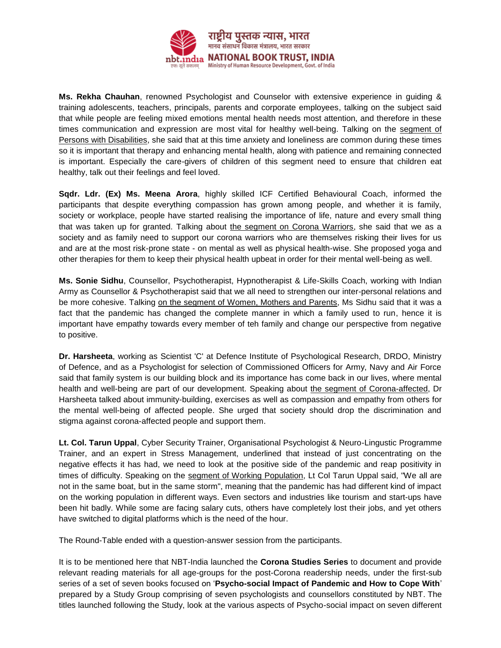

**Ms. Rekha Chauhan**, renowned Psychologist and Counselor with extensive experience in guiding & training adolescents, teachers, principals, parents and corporate employees, talking on the subject said that while people are feeling mixed emotions mental health needs most attention, and therefore in these times communication and expression are most vital for healthy well-being. Talking on the segment of Persons with Disabilities, she said that at this time anxiety and loneliness are common during these times so it is important that therapy and enhancing mental health, along with patience and remaining connected is important. Especially the care-givers of children of this segment need to ensure that children eat healthy, talk out their feelings and feel loved.

**Sqdr. Ldr. (Ex) Ms. Meena Arora**, highly skilled ICF Certified Behavioural Coach, informed the participants that despite everything compassion has grown among people, and whether it is family, society or workplace, people have started realising the importance of life, nature and every small thing that was taken up for granted. Talking about the segment on Corona Warriors, she said that we as a society and as family need to support our corona warriors who are themselves risking their lives for us and are at the most risk-prone state - on mental as well as physical health-wise. She proposed yoga and other therapies for them to keep their physical health upbeat in order for their mental well-being as well.

**Ms. Sonie Sidhu**, Counsellor, Psychotherapist, Hypnotherapist & Life-Skills Coach, working with Indian Army as Counsellor & Psychotherapist said that we all need to strengthen our inter-personal relations and be more cohesive. Talking on the segment of Women, Mothers and Parents, Ms Sidhu said that it was a fact that the pandemic has changed the complete manner in which a family used to run, hence it is important have empathy towards every member of teh family and change our perspective from negative to positive.

**Dr. Harsheeta**, working as Scientist 'C' at Defence Institute of Psychological Research, DRDO, Ministry of Defence, and as a Psychologist for selection of Commissioned Officers for Army, Navy and Air Force said that family system is our building block and its importance has come back in our lives, where mental health and well-being are part of our development. Speaking about the segment of Corona-affected, Dr Harsheeta talked about immunity-building, exercises as well as compassion and empathy from others for the mental well-being of affected people. She urged that society should drop the discrimination and stigma against corona-affected people and support them.

**Lt. Col. Tarun Uppal**, Cyber Security Trainer, Organisational Psychologist & Neuro-Lingustic Programme Trainer, and an expert in Stress Management, underlined that instead of just concentrating on the negative effects it has had, we need to look at the positive side of the pandemic and reap positivity in times of difficulty. Speaking on the segment of Working Population, Lt Col Tarun Uppal said, "We all are not in the same boat, but in the same storm", meaning that the pandemic has had different kind of impact on the working population in different ways. Even sectors and industries like tourism and start-ups have been hit badly. While some are facing salary cuts, others have completely lost their jobs, and yet others have switched to digital platforms which is the need of the hour.

The Round-Table ended with a question-answer session from the participants.

It is to be mentioned here that NBT-India launched the **Corona Studies Series** to document and provide relevant reading materials for all age-groups for the post-Corona readership needs, under the first-sub series of a set of seven books focused on '**Psycho-social Impact of Pandemic and How to Cope With**' prepared by a Study Group comprising of seven psychologists and counsellors constituted by NBT. The titles launched following the Study, look at the various aspects of Psycho-social impact on seven different